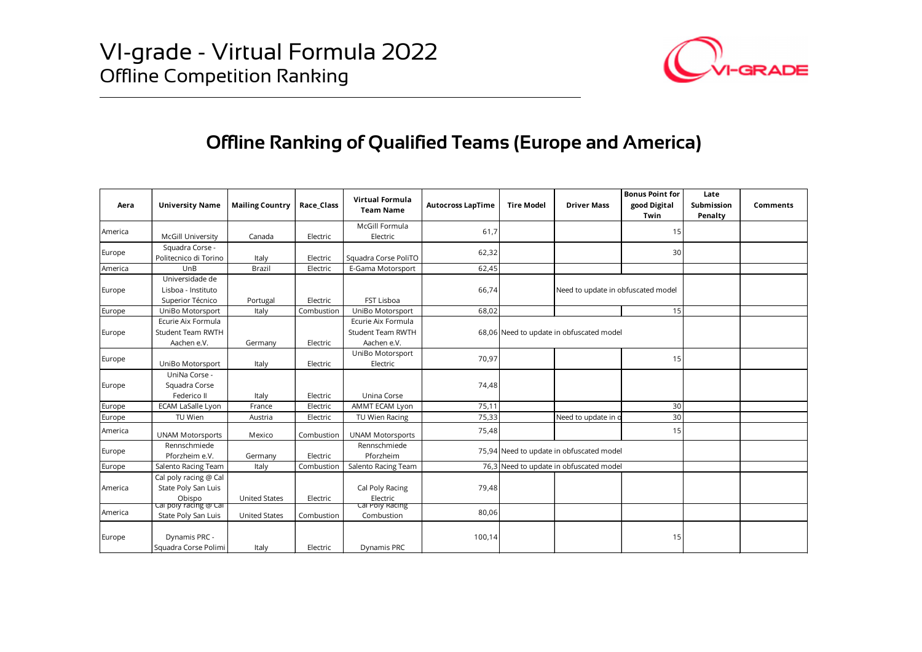

## Offline Ranking of Qualified Teams (Europe and America)

|                                                         |                                                         |                        |            |                                                |                          | <b>GRADE</b>      |                                          |                                                |                               |          |
|---------------------------------------------------------|---------------------------------------------------------|------------------------|------------|------------------------------------------------|--------------------------|-------------------|------------------------------------------|------------------------------------------------|-------------------------------|----------|
| Offline Ranking of Qualified Teams (Europe and America) |                                                         |                        |            |                                                |                          |                   |                                          |                                                |                               |          |
| Aera                                                    | <b>University Name</b>                                  | <b>Mailing Country</b> | Race_Class | Virtual Formula<br><b>Team Name</b>            | <b>Autocross LapTime</b> | <b>Tire Model</b> | <b>Driver Mass</b>                       | <b>Bonus Point for</b><br>good Digital<br>Twin | Late<br>Submission<br>Penalty | Comments |
| America                                                 | <b>McGill University</b>                                | Canada                 | Electric   | McGill Formula<br>Electric                     | 61,7                     |                   |                                          | 15                                             |                               |          |
| Europe                                                  | Squadra Corse -                                         |                        |            |                                                | 62,32                    |                   |                                          | 30                                             |                               |          |
|                                                         | Politecnico di Torino                                   | Italy                  | Electric   | Squadra Corse PoliTO                           |                          |                   |                                          |                                                |                               |          |
| America                                                 | UnB<br>Universidade de                                  | Brazil                 | Electric   | E-Gama Motorsport                              | 62,45                    |                   |                                          |                                                |                               |          |
| Europe                                                  | Lisboa - Instituto                                      |                        |            |                                                | 66,74                    |                   | Need to update in obfuscated model       |                                                |                               |          |
|                                                         | Superior Técnico                                        | Portugal               | Electric   | FST Lisboa                                     |                          |                   |                                          |                                                |                               |          |
| Europe                                                  | UniBo Motorsport                                        | Italy                  | Combustion | UniBo Motorsport                               | 68,02                    |                   |                                          | 15                                             |                               |          |
| Europe                                                  | Ecurie Aix Formula<br><b>Student Team RWTH</b>          |                        |            | Ecurie Aix Formula<br><b>Student Team RWTH</b> |                          |                   | 68,06 Need to update in obfuscated model |                                                |                               |          |
|                                                         | Aachen e.V.                                             | Germany                | Electric   | Aachen e.V.                                    |                          |                   |                                          |                                                |                               |          |
| Europe                                                  | UniBo Motorsport                                        | Italy                  | Electric   | UniBo Motorsport<br>Electric                   | 70,97                    |                   |                                          | 15                                             |                               |          |
|                                                         | UniNa Corse -                                           |                        |            |                                                |                          |                   |                                          |                                                |                               |          |
| Europe                                                  | Squadra Corse<br>Federico II                            | Italy                  | Electric   | Unina Corse                                    | 74,48                    |                   |                                          |                                                |                               |          |
| Europe                                                  | <b>ECAM LaSalle Lyon</b>                                | France                 | Electric   | AMMT ECAM Lyon                                 | 75,11                    |                   |                                          | 30                                             |                               |          |
| Europe                                                  | TU Wien                                                 | Austria                | Electric   | TU Wien Racing                                 | 75.33                    |                   | Need to update in o                      | 30                                             |                               |          |
| America                                                 | <b>UNAM Motorsports</b>                                 | Mexico                 | Combustion | <b>UNAM Motorsports</b>                        | 75,48                    |                   |                                          | 15                                             |                               |          |
|                                                         | Rennschmiede                                            |                        |            | Rennschmiede                                   |                          |                   |                                          |                                                |                               |          |
| Europe                                                  | Pforzheim e.V.                                          | Germany                | Electric   | Pforzheim                                      |                          |                   | 75,94 Need to update in obfuscated model |                                                |                               |          |
| Europe                                                  | Salento Racing Team                                     | Italy                  | Combustion | Salento Racing Team                            |                          |                   | 76,3 Need to update in obfuscated model  |                                                |                               |          |
| America                                                 | Cal poly racing @ Cal<br>State Poly San Luis            |                        |            | Cal Poly Racing                                | 79,48                    |                   |                                          |                                                |                               |          |
|                                                         | Obispo                                                  | <b>United States</b>   | Electric   | Electric                                       |                          |                   |                                          |                                                |                               |          |
| America                                                 | <del>car pory racing @ car</del><br>State Poly San Luis | <b>United States</b>   | Combustion | car Poly Racing<br>Combustion                  | 80,06                    |                   |                                          |                                                |                               |          |
|                                                         |                                                         |                        |            |                                                |                          |                   |                                          |                                                |                               |          |
|                                                         | Dynamis PRC -                                           |                        |            |                                                | 100,14                   |                   |                                          | 15                                             |                               |          |
| Europe                                                  | Squadra Corse Polimi                                    | Italy                  | Electric   | Dynamis PRC                                    |                          |                   |                                          |                                                |                               |          |